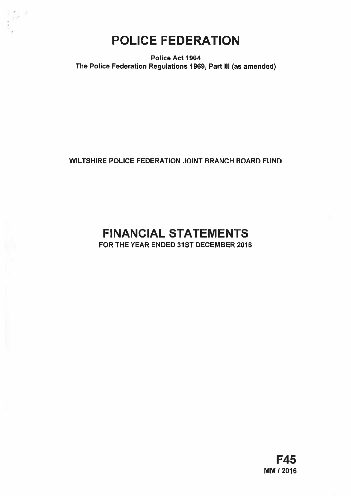

Police Act 1964 The Police Federation Regulations 1969, Part Ill (as amended)

WILTSHIRE POLICE FEDERATION JOINT BRANCH BOARD FUND

# FINANCIAL STATEMENTS

FOR THE YEAR ENDED 31ST DECEMBER 2016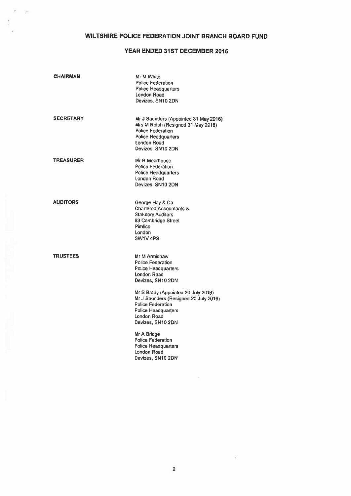# WILTSHIRE POLICE FEDERATION JOINT BRANCH BOARD FUND

ï  $\sim 10$ 

# YEAR ENDED 31ST DECEMBER 2016

| <b>CHAIRMAN</b>  | Mr M White<br><b>Police Federation</b><br><b>Police Headquarters</b><br>London Road<br>Devizes, SN10 2DN                                                                   |
|------------------|----------------------------------------------------------------------------------------------------------------------------------------------------------------------------|
| <b>SECRETARY</b> | Mr J Saunders (Appointed 31 May 2016)<br>Mrs M Rolph (Resigned 31 May 2016)<br><b>Police Federation</b><br><b>Police Headquarters</b><br>London Road<br>Devizes, SN10 2DN  |
| <b>TREASURER</b> | Mr R Moorhouse<br>Police Federation<br><b>Police Headquarters</b><br>London Road<br>Devizes, SN10 2DN                                                                      |
| <b>AUDITORS</b>  | George Hay & Co<br><b>Chartered Accountants &amp;</b><br><b>Statutory Auditors</b><br>83 Cambridge Street<br>Pimlico<br>London<br>SW1V 4PS                                 |
| TRUSTEES         | Mr M Armishaw<br><b>Police Federation</b><br><b>Police Headquarters</b><br>London Road<br>Devizes, SN10 2DN                                                                |
|                  | Mr S Brady (Appointed 20 July 2016)<br>Mr J Saunders (Resigned 20 July 2016)<br><b>Police Federation</b><br><b>Police Headquarters</b><br>London Road<br>Devizes, SN10 2DN |
|                  | Mr A Bridge<br><b>Police Federation</b><br><b>Police Headquarters</b><br>London Road<br>Devizes, SN10 2DN                                                                  |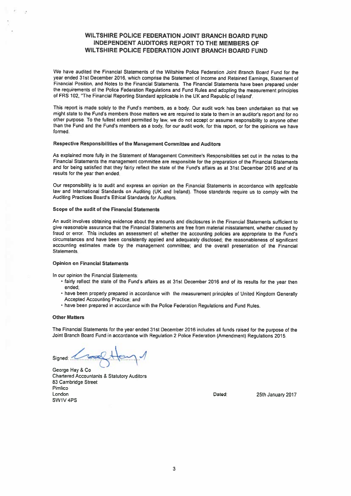# WILTSHIRE POLICE FEDERATION JOINT BRANCH BOARD FUND INDEPENDENT AUDITORS REPORT TO THE MEMBERS OF WILTSHIRE POLICE FEDERATION JOINT BRANCH BOARD FUND

We have audited the Financial Statements of the Wiltshire Police Federation Joint Branch Board Fund for the year ended 31st December 2016, which comprise the Statement of Income and Retained Earnings. Statement of Financial Position, and Notes to the Financial Statements. The Financial Statements have been prepare<sup>d</sup> under the requirements of the Police Federation Regulations and Fund Rules and adopting the measurement principles of FRS 102, 'The Financial Reporting Standard applicable in the UK and Republic of Ireland'.

This repor<sup>t</sup> is made solely to the Fund's members, as <sup>a</sup> body. Our audit work has been undertaken so that we might state to the Fund's members those matters we are required to state to them in an auditor's repor<sup>t</sup> and for no other purpose. To the fullest extent permitted by law, we do not accep<sup>t</sup> or assume responsibility to anyone other than the Fund and the Fund's members as <sup>a</sup> body, for our audit work, for this report, or for the opinions we have formed.

#### Respective Responsibilities of the Management Committee and Auditors

As explained more fully in the Statement of Management Committee's Responsibilities set out in the notes to the Financial Statements the managemen<sup>t</sup> committee are responsible for the preparation of the Financial Statements and for being satisfied that they fairly reflect the state of the Fund's affairs as at 31st December 2016 and of its results for the year then ended

Our responsibility is to audit and express an opinion on the Financial Statements in accordance with applicable law and International Standards on Auditing (UK and Ireland). Those standards require us to comply with the Auditing Practices Board's Ethical Standards for Auditors.

## Scope of the audit of the Financial Statements

An audit involves obtaining evidence about the amounts and disclosures in the Financial Statements sufficient to <sup>g</sup>ive reasonable assurance that the Financial Statements are free from material misstatement, whether caused by fraud or error. This includes an assessment of; whether the accounting policies are appropriate to the Fund's circumstances and have been consistently applied and adequately disclosed; the reasonableness of significant accounting estimates made by the managemen<sup>t</sup> committee; and the overall presentation of the Financial Statements.

#### Opinion on Financial Statements

In our opinion the Financial Statements:

- fairly reflect the state of the Fund's affairs as at 31st December <sup>2016</sup> and of its results for the year then ended;
- have been properly prepare<sup>d</sup> in accordance with the measurement principles of United Kingdom Generally Accepted Accounting Practice; and
- have been prepared in accordance with the Police Federation Regulations and Fund Rules.

#### **Other Matters**

The Financial Statements for the year ended 31st December <sup>2016</sup> includes all funds raised for the purpose of the Joint Branch Board Fund in accordance with Regulation 2 Police Federation (Amendment) Regulations 2015,

Signed:

George Hay & Co Chartered Accountants & Statutory Auditors 83 Cambridge Street Pimlico London Dated: 25th January 2017 SWIV 4PS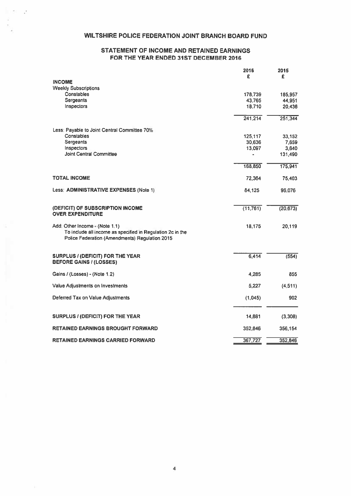# WILTSHIRE POLICE FEDERATION JOINT BRANCH BOARD FUND

2012

# STATEMENT OF INCOME AND RETAINED EARNINGS FOR THE YEAR ENDED 31ST DECEMBER 2016

|                                                                                                                                                | 2016<br>£ | 2015      |
|------------------------------------------------------------------------------------------------------------------------------------------------|-----------|-----------|
| <b>INCOME</b>                                                                                                                                  |           | £         |
| <b>Weekly Subscriptions</b>                                                                                                                    |           |           |
| Constables                                                                                                                                     | 178,739   | 185,957   |
| <b>Sergeants</b>                                                                                                                               | 43,765    | 44,951    |
| Inspectors                                                                                                                                     | 18,710    | 20,436    |
|                                                                                                                                                | 241,214   | 251,344   |
| Less: Payable to Joint Central Committee 70%                                                                                                   |           |           |
| Constables                                                                                                                                     | 125,117   | 33,152    |
| Sergeants                                                                                                                                      | 30,636    | 7,659     |
| Inspectors                                                                                                                                     | 13,097    | 3,640     |
| <b>Joint Central Committee</b>                                                                                                                 |           | 131,490   |
|                                                                                                                                                | 168,850   | 175,941   |
| <b>TOTAL INCOME</b>                                                                                                                            | 72,364    | 75,403    |
| Less: ADMINISTRATIVE EXPENSES (Note 1)                                                                                                         | 84,125    | 96,076    |
| (DEFICIT) OF SUBSCRIPTION INCOME<br><b>OVER EXPENDITURE</b>                                                                                    | (11, 761) | (20, 673) |
|                                                                                                                                                |           |           |
| Add: Other Income - (Note 1.1)<br>To include all income as specified in Regulation 2c in the<br>Police Federation (Amendments) Regulation 2015 | 18,175    | 20,119    |
| <b>SURPLUS / (DEFICIT) FOR THE YEAR</b>                                                                                                        | 6,414     | (554)     |
| <b>BEFORE GAINS / (LOSSES)</b>                                                                                                                 |           |           |
| Gains / (Losses) - (Note 1.2)                                                                                                                  | 4,285     | 855       |
| Value Adjustments on Investments                                                                                                               | 5,227     | (4, 511)  |
| Deferred Tax on Value Adjustments                                                                                                              | (1,045)   | 902       |
|                                                                                                                                                |           |           |
| <b>SURPLUS / (DEFICIT) FOR THE YEAR</b>                                                                                                        | 14,881    | (3,308)   |
| <b>RETAINED EARNINGS BROUGHT FORWARD</b>                                                                                                       | 352,846   | 356,154   |
| <b>RETAINED EARNINGS CARRIED FORWARD</b>                                                                                                       | 367,727   | 352,846   |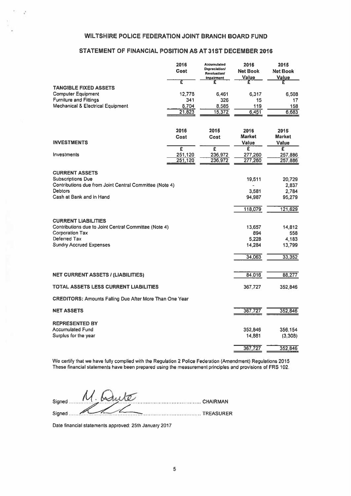# WILTSHIRE POLICE FEDERATION JOINT BRANCH BOARD FUND

 $\mu$  .  $\mathcal{L}_{\mathbf{r}}$ 

Ş

## STATEMENT OF FINANCIAL POSITION AS AT 31ST DECEMBER 2016

| <b>WILTSHIRE POLICE FEDERATION JOINT BRANCH BOARD FUND</b>                                                                                                      |                        |                                                                                 |                                            |                                               |
|-----------------------------------------------------------------------------------------------------------------------------------------------------------------|------------------------|---------------------------------------------------------------------------------|--------------------------------------------|-----------------------------------------------|
| STATEMENT OF FINANCIAL POSITION AS AT 31ST DECEMBER 2016                                                                                                        |                        |                                                                                 |                                            |                                               |
|                                                                                                                                                                 | 2016<br>Cost           | <b>Accumulated</b><br><b>Depreciation/</b><br>Revaluation/<br><b>Impairment</b> | 2016<br>Net Book<br><b>Value</b>           | 2015<br><b>Net Book</b><br>Value              |
| <b>TANGIBLE FIXED ASSETS</b><br><b>Computer Equipment</b>                                                                                                       | τ<br>12,778            | £<br>6.461                                                                      | £<br>6,317                                 | £<br>6,508                                    |
| <b>Furniture and Fittings</b><br><b>Mechanical &amp; Electrical Equipment</b>                                                                                   | 341<br>8,704<br>21,823 | 326<br>8,585<br>15,372                                                          | 15<br>119<br>6,451                         | 17<br>158<br>6,683                            |
|                                                                                                                                                                 | 2016<br><b>Cost</b>    | 2015<br>Cost                                                                    | 2016<br><b>Market</b>                      | 2015<br><b>Market</b>                         |
| <b>INVESTMENTS</b>                                                                                                                                              | £                      | £                                                                               | <b>Value</b><br>£                          | <b>Value</b><br>Ξ                             |
| <b>Investments</b>                                                                                                                                              | 251,120<br>251,120     | 236,972<br>236,972                                                              | 277,260<br>277,260                         | 257,886<br>257,886                            |
| <b>CURRENT ASSETS</b><br><b>Subscriptions Due</b><br>Contributions due from Joint Central Committee (Note 4)<br><b>Debtors</b><br>Cash at Bank and in Hand      |                        |                                                                                 | 19,511<br>3,581<br>94,987<br>118,079       | 20,729<br>2,837<br>2,784<br>95,279<br>121,629 |
| <b>CURRENT LIABILITIES</b><br>Contributions due to Joint Central Committee (Note 4)<br><b>Corporation Tax</b><br>Deferred Tax<br><b>Sundry Accrued Expenses</b> |                        |                                                                                 | 13,657<br>894<br>5.228<br>14,284<br>34,063 | 14,812<br>558<br>4,183<br>13,799<br>33,352    |
| <b>NET CURRENT ASSETS / (LIABILITIES)</b>                                                                                                                       |                        |                                                                                 | 84,016                                     | 88,277                                        |
| <b>TOTAL ASSETS LESS CURRENT LIABILITIES</b>                                                                                                                    |                        |                                                                                 | 367,727                                    | 352,846                                       |
| <b>CREDITORS: Amounts Falling Due After More Than One Year</b>                                                                                                  |                        |                                                                                 |                                            |                                               |
| <b>NET ASSETS</b>                                                                                                                                               |                        |                                                                                 | 367,727                                    | 352,846                                       |
| <b>REPRESENTED BY</b><br><b>Accumulated Fund</b><br>Surplus for the year                                                                                        |                        |                                                                                 | 352,846<br>14,881                          | 356,154<br>(3,308)                            |
|                                                                                                                                                                 |                        |                                                                                 | 367,727                                    | 352,846                                       |

We certify that we have fully complied with the Regulation 2 Police Federation (Amendment) Regulations 2015 These financial statements have been prepared using the measurement principles and provisions of FRS 102,

| M. Schute<br>Signed                                                    |  |
|------------------------------------------------------------------------|--|
| Signed<br><b>The Committee Committee Committee Committee TREASURER</b> |  |

Date financial statements approved; 25th January 2017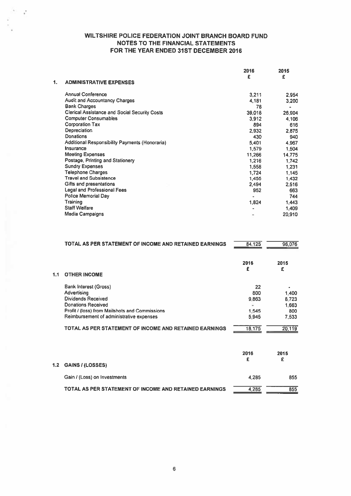$\mathbf{r}^{\prime}$ 

|    |                                                      | 2016   | 2015   |
|----|------------------------------------------------------|--------|--------|
|    |                                                      | £      | £      |
| 1. | <b>ADMINISTRATIVE EXPENSES</b>                       |        |        |
|    | <b>Annual Conference</b>                             | 3,211  | 2,954  |
|    | <b>Audit and Accountancy Charges</b>                 | 4,181  | 3,200  |
|    | <b>Bank Charges</b>                                  | 78     | ٠      |
|    | <b>Clerical Assistance and Social Security Costs</b> | 39,018 | 26,904 |
|    | <b>Computer Consumables</b>                          | 3,912  | 4,106  |
|    | <b>Corporation Tax</b>                               | 894    | 616    |
|    | Depreciation                                         | 2,932  | 2,875  |
|    | Donations                                            | 430    | 940    |
|    | Additional Responsibility Payments (Honoraria)       | 5,401  | 4,967  |
|    | Insurance                                            | 1,579  | 1,504  |
|    | <b>Meeting Expenses</b>                              | 11,266 | 14,775 |
|    | Postage, Printing and Stationery                     | 1,216  | 1,742  |
|    | <b>Sundry Expenses</b>                               | 1,558  | 1,231  |
|    | <b>Telephone Charges</b>                             | 1,724  | 1,145  |
|    | <b>Travel and Subsistence</b>                        | 1,455  | 1,432  |
|    | Gifts and presentations                              | 2,494  | 2,516  |
|    | Legal and Professional Fees                          | 952    | 663    |
|    | Police Memorial Day                                  |        | 744    |
|    | Training                                             | 1,824  | 1,443  |
|    | <b>Staff Welfare</b>                                 |        | 1,409  |
|    | <b>Media Campaigns</b>                               |        | 20,910 |

|               | TOTAL AS PER STATEMENT OF INCOME AND RETAINED EARNINGS                                                                                                                                                                                                        | 84,125                                         | 96,076                                            |
|---------------|---------------------------------------------------------------------------------------------------------------------------------------------------------------------------------------------------------------------------------------------------------------|------------------------------------------------|---------------------------------------------------|
|               |                                                                                                                                                                                                                                                               | 2016<br>£                                      | 2015<br>£                                         |
| 1.1           | <b>OTHER INCOME</b>                                                                                                                                                                                                                                           |                                                |                                                   |
|               | <b>Bank Interest (Gross)</b><br>Advertising<br><b>Dividends Received</b><br><b>Donations Received</b><br>Profit / (loss) from Mailshots and Commissions<br>Reimbursement of administrative expenses<br>TOTAL AS PER STATEMENT OF INCOME AND RETAINED EARNINGS | 22<br>800<br>9.863<br>1,545<br>5.945<br>18,175 | 1,400<br>8,723<br>1.663<br>800<br>7,533<br>20,119 |
| $\mathbf{.2}$ | <b>GAINS / (LOSSES)</b>                                                                                                                                                                                                                                       | 2016<br>£                                      | 2015<br>£                                         |
|               | Gain / (Loss) on Investments                                                                                                                                                                                                                                  | 4,285                                          | 855                                               |
|               | TOTAL AS PER STATEMENT OF INCOME AND RETAINED EARNINGS                                                                                                                                                                                                        | 4,285                                          | 855                                               |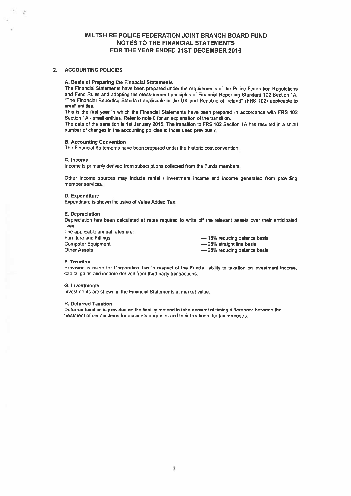#### 2. ACCOUNTING POLICIES

 $\mathcal{C}$ 

#### A. Basis of Preparing the Financial Statements

The Financial Statements have been prepared under the requirements of the Police Federation Regulations<br>and Fund Rules and adopting the measurement principles of Financial Reporting Standard 102 Section 1A. "The Financial Reporting Standard applicable in the UK and Republic of Ireland" (FRS 102) applicable to small entities

This is the first year in which the Financial Statements have been prepared in accordance with FRS 102 Section 1A -small entities. Refer to note 8 for an explanation of the transition.

The date of the transition is 1st January 2015. The transition to FRS 102 Section 1A has resulted in <sup>a</sup> small number of changes in the accounting policies to those used previously.

#### B. Accounting Convention

The Financial Statements have been prepared under the historic cost convention

#### C. Income

Income is primarily derived from subscriptions collected from the Funds members.

Other income sources may include rental / investment income and income generated from providing member services.

## 0. Expenditure

Expenditure is shown inclusive of Value Added Tax.

#### E. Depreciation

Depreciation has been calculated at rates required to write off the relevant assets over their anticipated lives.

The applicable annual rates are:

Furniture and Fittings<br>
Computer Equipment<br>
Computer Equipment<br>  $\overline{ }$  Computer Equipment Computer Equipment<br>
Other Assets<br>
Other Assets<br>
Other Assets<br>  $-25%$  reducing balance  $-25%$  reducing balance basis

#### F. Taxation

Provision is made for Corporation Tax in respec<sup>t</sup> of the Fund's liability to taxation on investment income. capital gains and income derived from third party transactions.

#### **G.** Investments

Investments are shown in the Financial Statements at market value.

#### H. Deferred Taxation

Deferred taxation is provided on the liability method to take account of timing differences between the treatment of certain items for accounts purposes and their treatment for tax purposes.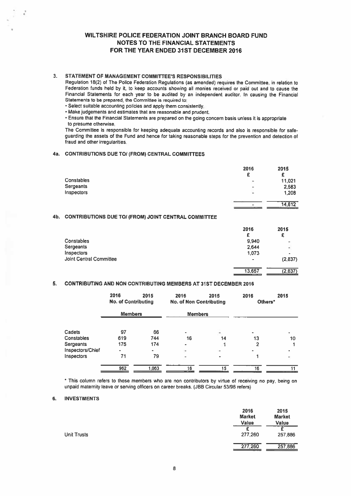## 3. STATEMENT OF MANAGEMENT COMMITTEE'S RESPONSIBILITIES

- Select suitable accounting policies and apply them consistently.
- Make judgements and estimates that are reasonable and prudent.

#### 4a. CONTRIBUTIONS DUE TO! (FROM) CENTRAL COMMITTEES

|            | 2016 | 2015   |
|------------|------|--------|
|            | £    | £      |
| Constables | ۰    | 11,021 |
| Sergeants  | $\,$ | 2,583  |
| Inspectors | ÷    | 1,208  |
|            | $\,$ | 14,812 |

## 4b. CONTRIBUTIONS DUE TO/ (FROM) JOINT CENTRAL COMMITTEE

| WILTSHIRE POLICE FEDERATION JOINT BRANCH BOARD FUND<br>NOTES TO THE FINANCIAL STATEMENTS<br>FOR THE YEAR ENDED 31ST DECEMBER 2016                                                                                                                                                                                                                                                                                                                                                                                                                                                                                                                                                                                                                                                                                                                                                                                                                                                     |                                                |                                                 |
|---------------------------------------------------------------------------------------------------------------------------------------------------------------------------------------------------------------------------------------------------------------------------------------------------------------------------------------------------------------------------------------------------------------------------------------------------------------------------------------------------------------------------------------------------------------------------------------------------------------------------------------------------------------------------------------------------------------------------------------------------------------------------------------------------------------------------------------------------------------------------------------------------------------------------------------------------------------------------------------|------------------------------------------------|-------------------------------------------------|
| STATEMENT OF MANAGEMENT COMMITTEE'S RESPONSIBILITIES<br>Regulation 18(2) of The Police Federation Regulations (as amended) requires the Committee, in relation to<br>Federation funds held by it, to keep accounts showing all monies received or paid out and to cause the<br>Financial Statements for each year to be audited by an independent auditor. In causing the Financial<br>Statements to be prepared, the Committee is required to:<br>· Select suitable accounting policies and apply them consistently.<br>. Make judgements and estimates that are reasonable and prudent.<br>Ensure that the Financial Statements are prepared on the going concern basis unless it is appropriate<br>to presume otherwise.<br>The Committee is responsible for keeping adequate accounting records and also is responsible for safe-<br>guarding the assets of the Fund and hence for taking reasonable steps for the prevention and detection of<br>fraud and other irregularities. |                                                |                                                 |
| <b>CONTRIBUTIONS DUE TO/ (FROM) CENTRAL COMMITTEES</b>                                                                                                                                                                                                                                                                                                                                                                                                                                                                                                                                                                                                                                                                                                                                                                                                                                                                                                                                |                                                |                                                 |
| Constables<br>Sergeants<br>Inspectors                                                                                                                                                                                                                                                                                                                                                                                                                                                                                                                                                                                                                                                                                                                                                                                                                                                                                                                                                 | 2016<br>£.                                     | 2015<br>£<br>11,021<br>2,583<br>1,208<br>14,812 |
| CONTRIBUTIONS DUE TO/ (FROM) JOINT CENTRAL COMMITTEE                                                                                                                                                                                                                                                                                                                                                                                                                                                                                                                                                                                                                                                                                                                                                                                                                                                                                                                                  |                                                |                                                 |
| Constables<br>Sergeants<br>Inspectors<br>Joint Central Committee                                                                                                                                                                                                                                                                                                                                                                                                                                                                                                                                                                                                                                                                                                                                                                                                                                                                                                                      | 2016<br>£                                      | 2015<br>£<br>9.940<br>2,644<br>1,073<br>(2,837) |
|                                                                                                                                                                                                                                                                                                                                                                                                                                                                                                                                                                                                                                                                                                                                                                                                                                                                                                                                                                                       |                                                | (2, 837)<br>13,657                              |
| CONTRIBUTING AND NON CONTRIBUTING MEMBERS AT 31ST DECEMBER 2016                                                                                                                                                                                                                                                                                                                                                                                                                                                                                                                                                                                                                                                                                                                                                                                                                                                                                                                       |                                                |                                                 |
| 2016<br>2015<br>2016<br><b>No. of Contributing</b>                                                                                                                                                                                                                                                                                                                                                                                                                                                                                                                                                                                                                                                                                                                                                                                                                                                                                                                                    | 2016<br>2015<br><b>No. of Non Contributing</b> | 2015<br>Others*                                 |
| <b>Members</b>                                                                                                                                                                                                                                                                                                                                                                                                                                                                                                                                                                                                                                                                                                                                                                                                                                                                                                                                                                        | <b>Members</b>                                 |                                                 |

## 5. CONTRIBUTING AND NON CONTRIBUTING MEMBERS AT 31ST DECEMBER 2016

|                   | 2016<br><b>No. of Contributing</b> | 2015  | 2016<br><b>No. of Non Contributing</b> | 2015 | 2016<br>Others* | 2015 |
|-------------------|------------------------------------|-------|----------------------------------------|------|-----------------|------|
|                   | <b>Members</b>                     |       | <b>Members</b>                         |      |                 |      |
| Cadets            | 97                                 | 66    | ۰                                      |      |                 |      |
| Constables        | 619                                | 744   | 16                                     | 14   | 13              | 10   |
| Sergeants         | 175                                | 174   | ٠                                      |      | 2               |      |
| Inspectors/Chief  | $\bullet$                          | ٠     | ×                                      | ۰    | ۰               |      |
| <b>Inspectors</b> | 71                                 | 79    |                                        |      |                 |      |
|                   | 962                                | 1.063 | 16                                     | 15   | 16              |      |

\* This column refers to those members who are non contributors by virtue of receiving no pay, being on unpaid maternity leave or serving officers on career breaks. (JBB Circular 53/96 refers)

#### 6. INVESTMENTS

|                    | 2016<br><b>Market</b><br>Value | 2015<br><b>Market</b><br>Value |
|--------------------|--------------------------------|--------------------------------|
| <b>Unit Trusts</b> | 277,260                        | 257,886                        |
|                    | 277,260                        | 257,886                        |